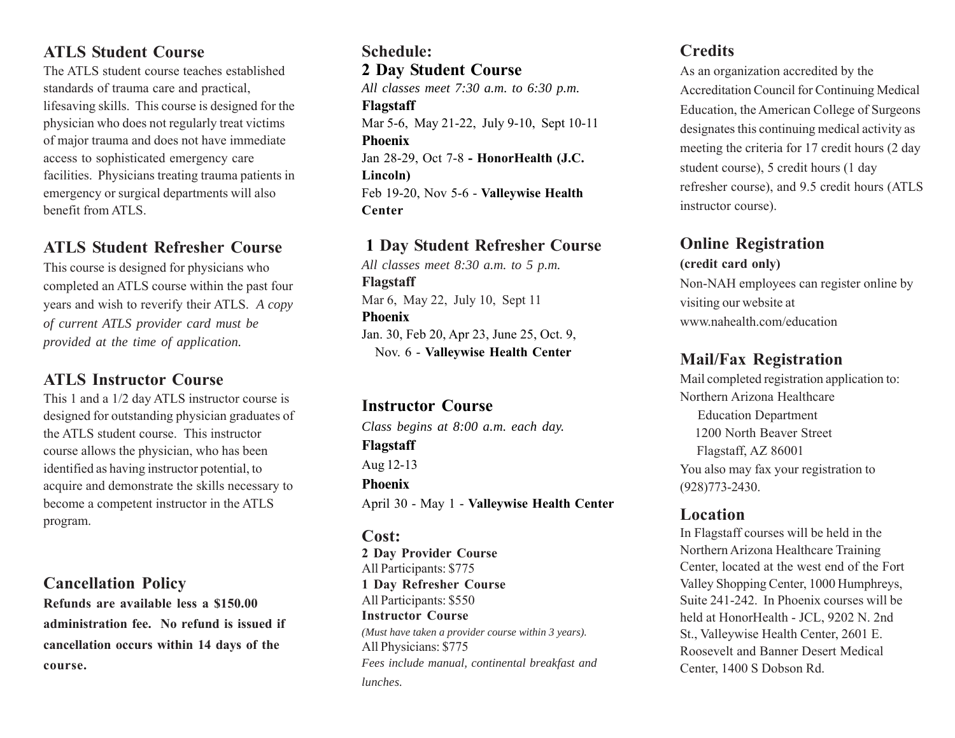#### **ATLS Student Course**

The ATLS student course teaches established standards of trauma care and practical, lifesaving skills. This course is designed for the physician who does not regularly treat victims of major trauma and does not have immediate access to sophisticated emergency care facilities. Physicians treating trauma patients in emergency or surgical departments will also benefit from ATLS.

#### **ATLS Student Refresher Course**

This course is designed for physicians who completed an ATLS course within the past four years and wish to reverify their ATLS. *A copy of current ATLS provider card must be provided at the time of application.*

## **ATLS Instructor Course**

This 1 and a 1/2 day ATLS instructor course is designed for outstanding physician graduates of the ATLS student course. This instructor course allows the physician, who has been identified as having instructor potential, to acquire and demonstrate the skills necessary to become a competent instructor in the ATLS program.

#### **Cancellation Policy**

**Refunds are available less a \$150.00 administration fee. No refund is issued if cancellation occurs within 14 days of the course.**

#### **Schedule: 2 Day Student Course** *All classes meet 7:30 a.m. to 6:30 p.m.* **Flagstaff** Mar 5-6, May 21-22, July 9-10, Sept 10-11 **Phoenix** Jan 28-29, Oct 7-8 **- HonorHealth (J.C. Lincoln)** Feb 19-20, Nov 5-6 - **Valleywise Health Center**

#### **1 Day Student Refresher Course**

*All classes meet 8:30 a.m. to 5 p.m.* **Flagstaff** Mar 6, May 22, July 10, Sept 11 **Phoenix** Jan. 30, Feb 20, Apr 23, June 25, Oct. 9, Nov. 6 - **Valleywise Health Center**

#### **Instructor Course**

*Class begins at 8:00 a.m. each day.* **Flagstaff** Aug 12-13 **Phoenix** April 30 - May 1 - **Valleywise Health Center**

#### **Cost:**

**2 Day Provider Course** All Participants: \$775 **1 Day Refresher Course** All Participants: \$550 **Instructor Course** *(Must have taken a provider course within 3 years).* All Physicians: \$775 *Fees include manual, continental breakfast and lunches.*

#### **Credits**

As an organization accredited by the Accreditation Council for Continuing Medical Education, the American College of Surgeons designates this continuing medical activity as meeting the criteria for 17 credit hours (2 day student course), 5 credit hours (1 day refresher course), and 9.5 credit hours (ATLS instructor course).

### **Online Registration**

#### **(credit card only)**

Non-NAH employees can register online by visiting our website at www.nahealth.com/education

### **Mail/Fax Registration**

Mail completed registration application to: Northern Arizona Healthcare Education Department 1200 North Beaver Street Flagstaff, AZ 86001 You also may fax your registration to (928)773-2430.

### **Location**

In Flagstaff courses will be held in the Northern Arizona Healthcare Training Center, located at the west end of the Fort Valley Shopping Center, 1000 Humphreys, Suite 241-242. In Phoenix courses will be held at HonorHealth - JCL, 9202 N. 2nd St., Valleywise Health Center, 2601 E. Roosevelt and Banner Desert Medical Center, 1400 S Dobson Rd.